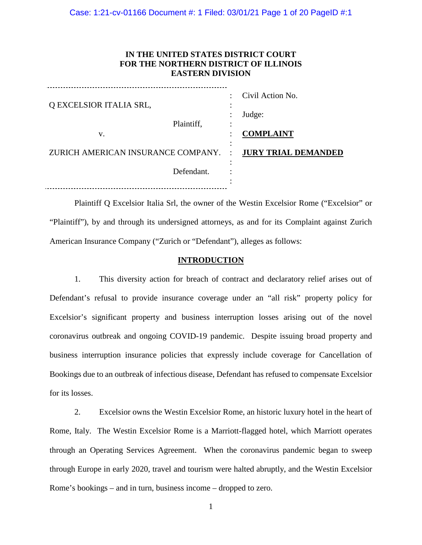# **IN THE UNITED STATES DISTRICT COURT FOR THE NORTHERN DISTRICT OF ILLINOIS EASTERN DIVISION**

| Q EXCELSIOR ITALIA SRL,<br>Plaintiff,            | ٠<br>$\bullet$ | Civil Action No.<br>Judge: |
|--------------------------------------------------|----------------|----------------------------|
| v.                                               |                | <b>COMPLAINT</b>           |
| ZURICH AMERICAN INSURANCE COMPANY.<br>Defendant. | $\ddot{\cdot}$ | <b>JURY TRIAL DEMANDED</b> |

Plaintiff Q Excelsior Italia Srl, the owner of the Westin Excelsior Rome ("Excelsior" or "Plaintiff"), by and through its undersigned attorneys, as and for its Complaint against Zurich American Insurance Company ("Zurich or "Defendant"), alleges as follows:

# **INTRODUCTION**

1. This diversity action for breach of contract and declaratory relief arises out of Defendant's refusal to provide insurance coverage under an "all risk" property policy for Excelsior's significant property and business interruption losses arising out of the novel coronavirus outbreak and ongoing COVID-19 pandemic. Despite issuing broad property and business interruption insurance policies that expressly include coverage for Cancellation of Bookings due to an outbreak of infectious disease, Defendant has refused to compensate Excelsior for its losses.

2. Excelsior owns the Westin Excelsior Rome, an historic luxury hotel in the heart of Rome, Italy. The Westin Excelsior Rome is a Marriott-flagged hotel, which Marriott operates through an Operating Services Agreement. When the coronavirus pandemic began to sweep through Europe in early 2020, travel and tourism were halted abruptly, and the Westin Excelsior Rome's bookings – and in turn, business income – dropped to zero.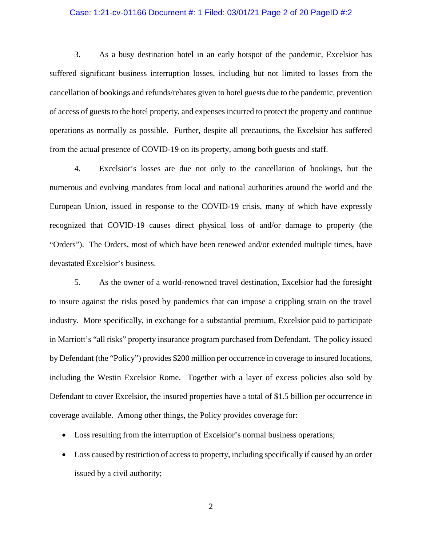### Case: 1:21-cv-01166 Document #: 1 Filed: 03/01/21 Page 2 of 20 PageID #:2

3. As a busy destination hotel in an early hotspot of the pandemic, Excelsior has suffered significant business interruption losses, including but not limited to losses from the cancellation of bookings and refunds/rebates given to hotel guests due to the pandemic, prevention of access of guests to the hotel property, and expenses incurred to protect the property and continue operations as normally as possible. Further, despite all precautions, the Excelsior has suffered from the actual presence of COVID-19 on its property, among both guests and staff.

4. Excelsior's losses are due not only to the cancellation of bookings, but the numerous and evolving mandates from local and national authorities around the world and the European Union, issued in response to the COVID-19 crisis, many of which have expressly recognized that COVID-19 causes direct physical loss of and/or damage to property (the "Orders"). The Orders, most of which have been renewed and/or extended multiple times, have devastated Excelsior's business.

5. As the owner of a world-renowned travel destination, Excelsior had the foresight to insure against the risks posed by pandemics that can impose a crippling strain on the travel industry. More specifically, in exchange for a substantial premium, Excelsior paid to participate in Marriott's "all risks" property insurance program purchased from Defendant. The policy issued by Defendant (the "Policy") provides \$200 million per occurrence in coverage to insured locations, including the Westin Excelsior Rome. Together with a layer of excess policies also sold by Defendant to cover Excelsior, the insured properties have a total of \$1.5 billion per occurrence in coverage available. Among other things, the Policy provides coverage for:

- Loss resulting from the interruption of Excelsior's normal business operations;
- Loss caused by restriction of access to property, including specifically if caused by an order issued by a civil authority;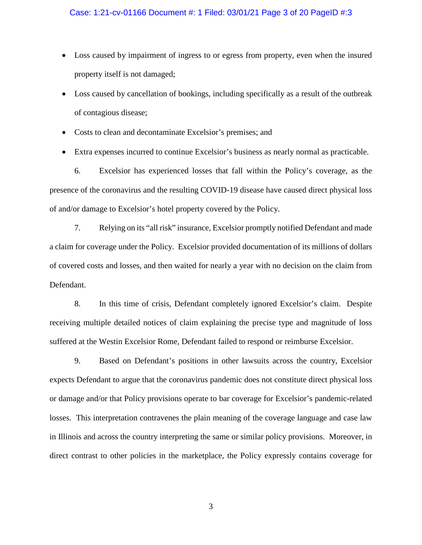### Case: 1:21-cv-01166 Document #: 1 Filed: 03/01/21 Page 3 of 20 PageID #:3

- Loss caused by impairment of ingress to or egress from property, even when the insured property itself is not damaged;
- Loss caused by cancellation of bookings, including specifically as a result of the outbreak of contagious disease;
- Costs to clean and decontaminate Excelsior's premises; and
- Extra expenses incurred to continue Excelsior's business as nearly normal as practicable.

6. Excelsior has experienced losses that fall within the Policy's coverage, as the presence of the coronavirus and the resulting COVID-19 disease have caused direct physical loss of and/or damage to Excelsior's hotel property covered by the Policy.

7. Relying on its "all risk" insurance, Excelsior promptly notified Defendant and made a claim for coverage under the Policy. Excelsior provided documentation of its millions of dollars of covered costs and losses, and then waited for nearly a year with no decision on the claim from Defendant.

8. In this time of crisis, Defendant completely ignored Excelsior's claim. Despite receiving multiple detailed notices of claim explaining the precise type and magnitude of loss suffered at the Westin Excelsior Rome, Defendant failed to respond or reimburse Excelsior.

9. Based on Defendant's positions in other lawsuits across the country, Excelsior expects Defendant to argue that the coronavirus pandemic does not constitute direct physical loss or damage and/or that Policy provisions operate to bar coverage for Excelsior's pandemic-related losses. This interpretation contravenes the plain meaning of the coverage language and case law in Illinois and across the country interpreting the same or similar policy provisions. Moreover, in direct contrast to other policies in the marketplace, the Policy expressly contains coverage for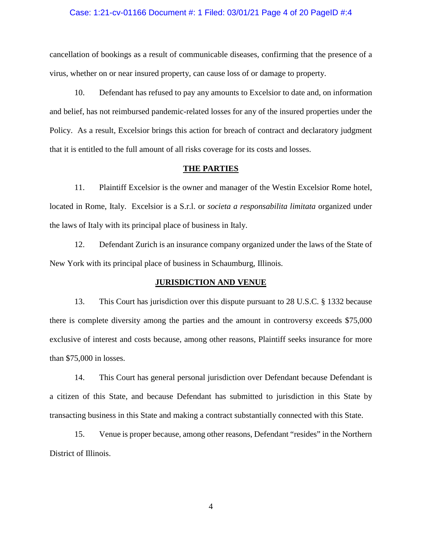#### Case: 1:21-cv-01166 Document #: 1 Filed: 03/01/21 Page 4 of 20 PageID #:4

cancellation of bookings as a result of communicable diseases, confirming that the presence of a virus, whether on or near insured property, can cause loss of or damage to property.

10. Defendant has refused to pay any amounts to Excelsior to date and, on information and belief, has not reimbursed pandemic-related losses for any of the insured properties under the Policy. As a result, Excelsior brings this action for breach of contract and declaratory judgment that it is entitled to the full amount of all risks coverage for its costs and losses.

#### **THE PARTIES**

11. Plaintiff Excelsior is the owner and manager of the Westin Excelsior Rome hotel, located in Rome, Italy. Excelsior is a S.r.l. or *societa a responsabilita limitata* organized under the laws of Italy with its principal place of business in Italy.

12. Defendant Zurich is an insurance company organized under the laws of the State of New York with its principal place of business in Schaumburg, Illinois.

#### **JURISDICTION AND VENUE**

13. This Court has jurisdiction over this dispute pursuant to 28 U.S.C. § 1332 because there is complete diversity among the parties and the amount in controversy exceeds \$75,000 exclusive of interest and costs because, among other reasons, Plaintiff seeks insurance for more than \$75,000 in losses.

14. This Court has general personal jurisdiction over Defendant because Defendant is a citizen of this State, and because Defendant has submitted to jurisdiction in this State by transacting business in this State and making a contract substantially connected with this State.

15. Venue is proper because, among other reasons, Defendant "resides" in the Northern District of Illinois.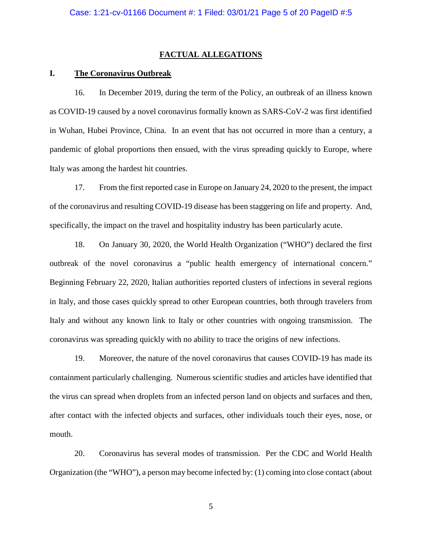### **FACTUAL ALLEGATIONS**

### **I. The Coronavirus Outbreak**

16. In December 2019, during the term of the Policy, an outbreak of an illness known as COVID-19 caused by a novel coronavirus formally known as SARS-CoV-2 was first identified in Wuhan, Hubei Province, China. In an event that has not occurred in more than a century, a pandemic of global proportions then ensued, with the virus spreading quickly to Europe, where Italy was among the hardest hit countries.

17. From the first reported case in Europe on January 24, 2020 to the present, the impact of the coronavirus and resulting COVID-19 disease has been staggering on life and property. And, specifically, the impact on the travel and hospitality industry has been particularly acute.

18. On January 30, 2020, the World Health Organization ("WHO") declared the first outbreak of the novel coronavirus a "public health emergency of international concern." Beginning February 22, 2020, Italian authorities reported clusters of infections in several regions in Italy, and those cases quickly spread to other European countries, both through travelers from Italy and without any known link to Italy or other countries with ongoing transmission. The coronavirus was spreading quickly with no ability to trace the origins of new infections.

19. Moreover, the nature of the novel coronavirus that causes COVID-19 has made its containment particularly challenging. Numerous scientific studies and articles have identified that the virus can spread when droplets from an infected person land on objects and surfaces and then, after contact with the infected objects and surfaces, other individuals touch their eyes, nose, or mouth.

20. Coronavirus has several modes of transmission. Per the CDC and World Health Organization (the "WHO"), a person may become infected by: (1) coming into close contact (about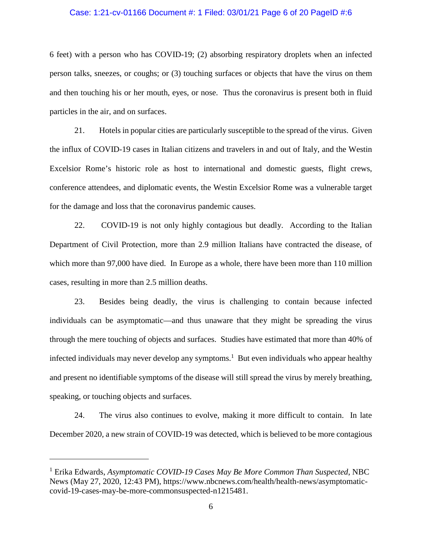#### Case: 1:21-cv-01166 Document #: 1 Filed: 03/01/21 Page 6 of 20 PageID #:6

6 feet) with a person who has COVID-19; (2) absorbing respiratory droplets when an infected person talks, sneezes, or coughs; or (3) touching surfaces or objects that have the virus on them and then touching his or her mouth, eyes, or nose. Thus the coronavirus is present both in fluid particles in the air, and on surfaces.

21. Hotels in popular cities are particularly susceptible to the spread of the virus. Given the influx of COVID-19 cases in Italian citizens and travelers in and out of Italy, and the Westin Excelsior Rome's historic role as host to international and domestic guests, flight crews, conference attendees, and diplomatic events, the Westin Excelsior Rome was a vulnerable target for the damage and loss that the coronavirus pandemic causes.

22. COVID-19 is not only highly contagious but deadly. According to the Italian Department of Civil Protection, more than 2.9 million Italians have contracted the disease, of which more than 97,000 have died. In Europe as a whole, there have been more than 110 million cases, resulting in more than 2.5 million deaths.

23. Besides being deadly, the virus is challenging to contain because infected individuals can be asymptomatic—and thus unaware that they might be spreading the virus through the mere touching of objects and surfaces. Studies have estimated that more than 40% of infected individuals may never develop any symptoms.<sup>1</sup> But even individuals who appear healthy and present no identifiable symptoms of the disease will still spread the virus by merely breathing, speaking, or touching objects and surfaces.

24. The virus also continues to evolve, making it more difficult to contain. In late December 2020, a new strain of COVID-19 was detected, which is believed to be more contagious

<sup>&</sup>lt;sup>1</sup> Erika Edwards, Asymptomatic COVID-19 Cases May Be More Common Than Suspected, NBC News (May 27, 2020, 12:43 PM), https://www.nbcnews.com/health/health-news/asymptomaticcovid-19-cases-may-be-more-commonsuspected-n1215481.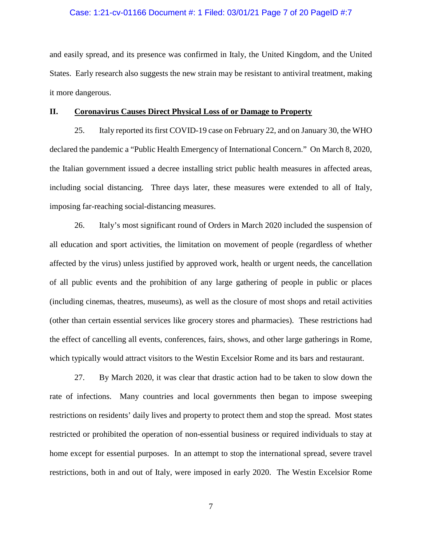#### Case: 1:21-cv-01166 Document #: 1 Filed: 03/01/21 Page 7 of 20 PageID #:7

and easily spread, and its presence was confirmed in Italy, the United Kingdom, and the United States. Early research also suggests the new strain may be resistant to antiviral treatment, making it more dangerous.

#### **II. Coronavirus Causes Direct Physical Loss of or Damage to Property**

25. Italy reported its first COVID-19 case on February 22, and on January 30, the WHO declared the pandemic a "Public Health Emergency of International Concern." On March 8, 2020, the Italian government issued a decree installing strict public health measures in affected areas, including social distancing. Three days later, these measures were extended to all of Italy, imposing far-reaching social-distancing measures.

26. Italy's most significant round of Orders in March 2020 included the suspension of all education and sport activities, the limitation on movement of people (regardless of whether affected by the virus) unless justified by approved work, health or urgent needs, the cancellation of all public events and the prohibition of any large gathering of people in public or places (including cinemas, theatres, museums), as well as the closure of most shops and retail activities (other than certain essential services like grocery stores and pharmacies). These restrictions had the effect of cancelling all events, conferences, fairs, shows, and other large gatherings in Rome, which typically would attract visitors to the Westin Excelsior Rome and its bars and restaurant.

27. By March 2020, it was clear that drastic action had to be taken to slow down the rate of infections. Many countries and local governments then began to impose sweeping restrictions on residents' daily lives and property to protect them and stop the spread. Most states restricted or prohibited the operation of non-essential business or required individuals to stay at home except for essential purposes. In an attempt to stop the international spread, severe travel restrictions, both in and out of Italy, were imposed in early 2020. The Westin Excelsior Rome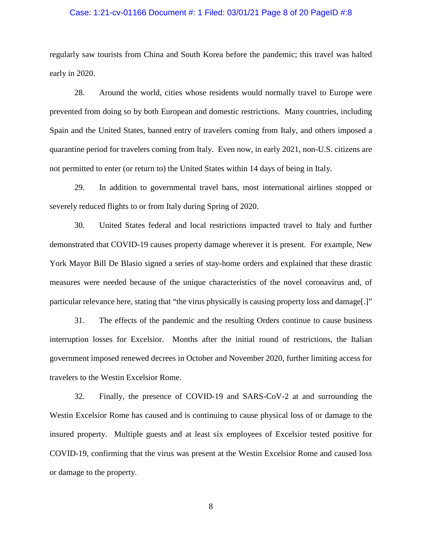#### Case: 1:21-cv-01166 Document #: 1 Filed: 03/01/21 Page 8 of 20 PageID #:8

regularly saw tourists from China and South Korea before the pandemic; this travel was halted early in 2020.

28. Around the world, cities whose residents would normally travel to Europe were prevented from doing so by both European and domestic restrictions. Many countries, including Spain and the United States, banned entry of travelers coming from Italy, and others imposed a quarantine period for travelers coming from Italy. Even now, in early 2021, non-U.S. citizens are not permitted to enter (or return to) the United States within 14 days of being in Italy.

29. In addition to governmental travel bans, most international airlines stopped or severely reduced flights to or from Italy during Spring of 2020.

30. United States federal and local restrictions impacted travel to Italy and further demonstrated that COVID-19 causes property damage wherever it is present. For example, New York Mayor Bill De Blasio signed a series of stay-home orders and explained that these drastic measures were needed because of the unique characteristics of the novel coronavirus and, of particular relevance here, stating that "the virus physically is causing property loss and damage[.]"

31. The effects of the pandemic and the resulting Orders continue to cause business interruption losses for Excelsior. Months after the initial round of restrictions, the Italian government imposed renewed decrees in October and November 2020, further limiting access for travelers to the Westin Excelsior Rome.

32. Finally, the presence of COVID-19 and SARS-CoV-2 at and surrounding the Westin Excelsior Rome has caused and is continuing to cause physical loss of or damage to the insured property. Multiple guests and at least six employees of Excelsior tested positive for COVID-19, confirming that the virus was present at the Westin Excelsior Rome and caused loss or damage to the property.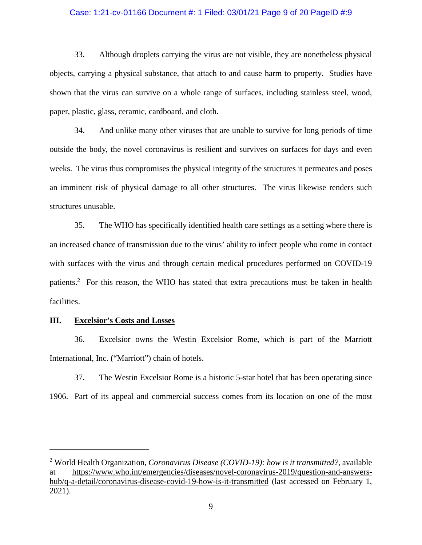### Case: 1:21-cv-01166 Document #: 1 Filed: 03/01/21 Page 9 of 20 PageID #:9

33. Although droplets carrying the virus are not visible, they are nonetheless physical objects, carrying a physical substance, that attach to and cause harm to property. Studies have shown that the virus can survive on a whole range of surfaces, including stainless steel, wood, paper, plastic, glass, ceramic, cardboard, and cloth.

34. And unlike many other viruses that are unable to survive for long periods of time outside the body, the novel coronavirus is resilient and survives on surfaces for days and even weeks. The virus thus compromises the physical integrity of the structures it permeates and poses an imminent risk of physical damage to all other structures. The virus likewise renders such structures unusable.

35. The WHO has specifically identified health care settings as a setting where there is an increased chance of transmission due to the virus' ability to infect people who come in contact with surfaces with the virus and through certain medical procedures performed on COVID-19 patients.<sup>2</sup> For this reason, the WHO has stated that extra precautions must be taken in health facilities.

#### **III. Excelsior's Costs and Losses**

36. Excelsior owns the Westin Excelsior Rome, which is part of the Marriott International, Inc. ("Marriott") chain of hotels.

37. The Westin Excelsior Rome is a historic 5-star hotel that has been operating since 1906. Part of its appeal and commercial success comes from its location on one of the most

<sup>2</sup> World Health Organization, *Coronavirus Disease (COVID-19): how is it transmitted?*, available at https://www.who.int/emergencies/diseases/novel-coronavirus-2019/question-and-answershub/q-a-detail/coronavirus-disease-covid-19-how-is-it-transmitted (last accessed on February 1, 2021).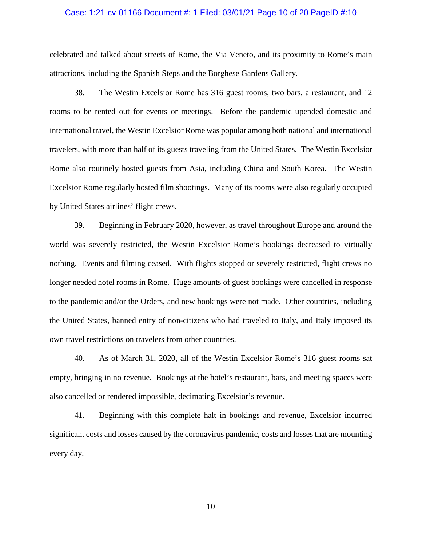#### Case: 1:21-cv-01166 Document #: 1 Filed: 03/01/21 Page 10 of 20 PageID #:10

celebrated and talked about streets of Rome, the Via Veneto, and its proximity to Rome's main attractions, including the Spanish Steps and the Borghese Gardens Gallery.

38. The Westin Excelsior Rome has 316 guest rooms, two bars, a restaurant, and 12 rooms to be rented out for events or meetings. Before the pandemic upended domestic and international travel, the Westin Excelsior Rome was popular among both national and international travelers, with more than half of its guests traveling from the United States. The Westin Excelsior Rome also routinely hosted guests from Asia, including China and South Korea. The Westin Excelsior Rome regularly hosted film shootings. Many of its rooms were also regularly occupied by United States airlines' flight crews.

39. Beginning in February 2020, however, as travel throughout Europe and around the world was severely restricted, the Westin Excelsior Rome's bookings decreased to virtually nothing. Events and filming ceased. With flights stopped or severely restricted, flight crews no longer needed hotel rooms in Rome. Huge amounts of guest bookings were cancelled in response to the pandemic and/or the Orders, and new bookings were not made. Other countries, including the United States, banned entry of non-citizens who had traveled to Italy, and Italy imposed its own travel restrictions on travelers from other countries.

40. As of March 31, 2020, all of the Westin Excelsior Rome's 316 guest rooms sat empty, bringing in no revenue. Bookings at the hotel's restaurant, bars, and meeting spaces were also cancelled or rendered impossible, decimating Excelsior's revenue.

41. Beginning with this complete halt in bookings and revenue, Excelsior incurred significant costs and losses caused by the coronavirus pandemic, costs and losses that are mounting every day.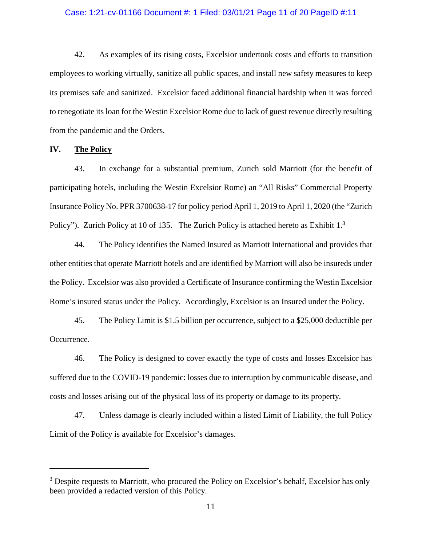#### Case: 1:21-cv-01166 Document #: 1 Filed: 03/01/21 Page 11 of 20 PageID #:11

42. As examples of its rising costs, Excelsior undertook costs and efforts to transition employees to working virtually, sanitize all public spaces, and install new safety measures to keep its premises safe and sanitized. Excelsior faced additional financial hardship when it was forced to renegotiate its loan for the Westin Excelsior Rome due to lack of guest revenue directly resulting from the pandemic and the Orders.

### **IV. The Policy**

43. In exchange for a substantial premium, Zurich sold Marriott (for the benefit of participating hotels, including the Westin Excelsior Rome) an "All Risks" Commercial Property Insurance Policy No. PPR 3700638-17 for policy period April 1, 2019 to April 1, 2020 (the "Zurich Policy"). Zurich Policy at 10 of 135. The Zurich Policy is attached hereto as Exhibit 1.<sup>3</sup>

44. The Policy identifies the Named Insured as Marriott International and provides that other entities that operate Marriott hotels and are identified by Marriott will also be insureds under the Policy. Excelsior was also provided a Certificate of Insurance confirming the Westin Excelsior Rome's insured status under the Policy. Accordingly, Excelsior is an Insured under the Policy.

45. The Policy Limit is \$1.5 billion per occurrence, subject to a \$25,000 deductible per Occurrence.

46. The Policy is designed to cover exactly the type of costs and losses Excelsior has suffered due to the COVID-19 pandemic: losses due to interruption by communicable disease, and costs and losses arising out of the physical loss of its property or damage to its property.

47. Unless damage is clearly included within a listed Limit of Liability, the full Policy Limit of the Policy is available for Excelsior's damages.

<sup>&</sup>lt;sup>3</sup> Despite requests to Marriott, who procured the Policy on Excelsior's behalf, Excelsior has only been provided a redacted version of this Policy.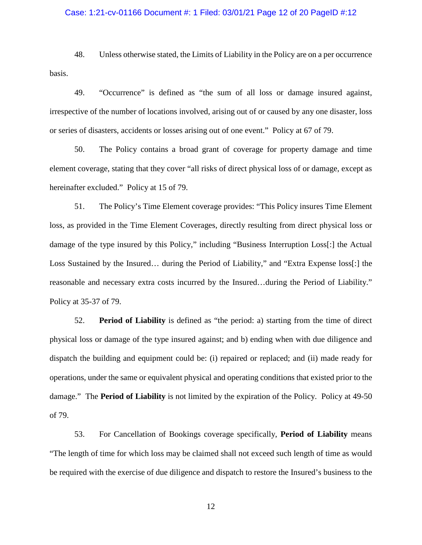### Case: 1:21-cv-01166 Document #: 1 Filed: 03/01/21 Page 12 of 20 PageID #:12

48. Unless otherwise stated, the Limits of Liability in the Policy are on a per occurrence basis.

49. "Occurrence" is defined as "the sum of all loss or damage insured against, irrespective of the number of locations involved, arising out of or caused by any one disaster, loss or series of disasters, accidents or losses arising out of one event." Policy at 67 of 79.

50. The Policy contains a broad grant of coverage for property damage and time element coverage, stating that they cover "all risks of direct physical loss of or damage, except as hereinafter excluded." Policy at 15 of 79.

51. The Policy's Time Element coverage provides: "This Policy insures Time Element loss, as provided in the Time Element Coverages, directly resulting from direct physical loss or damage of the type insured by this Policy," including "Business Interruption Loss[:] the Actual Loss Sustained by the Insured… during the Period of Liability," and "Extra Expense loss[:] the reasonable and necessary extra costs incurred by the Insured…during the Period of Liability." Policy at 35-37 of 79.

52. **Period of Liability** is defined as "the period: a) starting from the time of direct physical loss or damage of the type insured against; and b) ending when with due diligence and dispatch the building and equipment could be: (i) repaired or replaced; and (ii) made ready for operations, under the same or equivalent physical and operating conditions that existed prior to the damage." The **Period of Liability** is not limited by the expiration of the Policy. Policy at 49-50 of 79.

53. For Cancellation of Bookings coverage specifically, **Period of Liability** means "The length of time for which loss may be claimed shall not exceed such length of time as would be required with the exercise of due diligence and dispatch to restore the Insured's business to the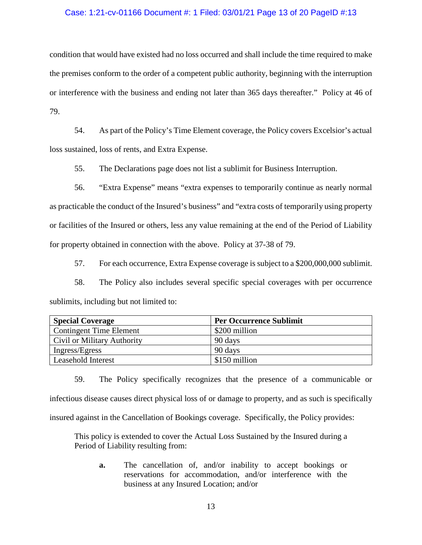### Case: 1:21-cv-01166 Document #: 1 Filed: 03/01/21 Page 13 of 20 PageID #:13

condition that would have existed had no loss occurred and shall include the time required to make the premises conform to the order of a competent public authority, beginning with the interruption or interference with the business and ending not later than 365 days thereafter." Policy at 46 of 79.

54. As part of the Policy's Time Element coverage, the Policy covers Excelsior's actual loss sustained, loss of rents, and Extra Expense.

55. The Declarations page does not list a sublimit for Business Interruption.

56. "Extra Expense" means "extra expenses to temporarily continue as nearly normal as practicable the conduct of the Insured's business" and "extra costs of temporarily using property or facilities of the Insured or others, less any value remaining at the end of the Period of Liability for property obtained in connection with the above. Policy at 37-38 of 79.

57. For each occurrence, Extra Expense coverage is subject to a \$200,000,000 sublimit.

58. The Policy also includes several specific special coverages with per occurrence sublimits, including but not limited to:

| <b>Special Coverage</b>        | <b>Per Occurrence Sublimit</b> |
|--------------------------------|--------------------------------|
| <b>Contingent Time Element</b> | \$200 million                  |
| Civil or Military Authority    | 90 days                        |
| Ingress/Egress                 | 90 days                        |
| Leasehold Interest             | \$150 million                  |

59. The Policy specifically recognizes that the presence of a communicable or infectious disease causes direct physical loss of or damage to property, and as such is specifically insured against in the Cancellation of Bookings coverage. Specifically, the Policy provides:

This policy is extended to cover the Actual Loss Sustained by the Insured during a Period of Liability resulting from:

**a.** The cancellation of, and/or inability to accept bookings or reservations for accommodation, and/or interference with the business at any Insured Location; and/or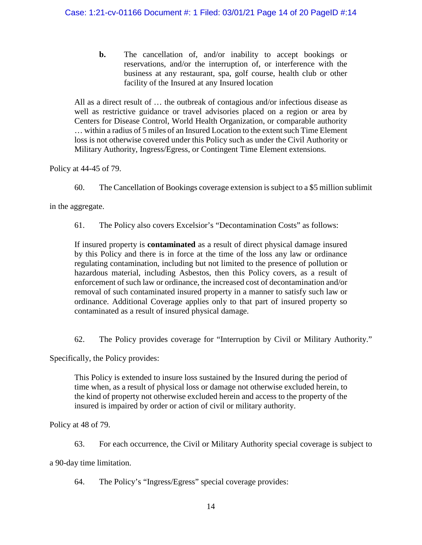**b.** The cancellation of, and/or inability to accept bookings or reservations, and/or the interruption of, or interference with the business at any restaurant, spa, golf course, health club or other facility of the Insured at any Insured location

All as a direct result of … the outbreak of contagious and/or infectious disease as well as restrictive guidance or travel advisories placed on a region or area by Centers for Disease Control, World Health Organization, or comparable authority … within a radius of 5 miles of an Insured Location to the extent such Time Element loss is not otherwise covered under this Policy such as under the Civil Authority or Military Authority, Ingress/Egress, or Contingent Time Element extensions.

Policy at 44-45 of 79.

60. The Cancellation of Bookings coverage extension is subject to a \$5 million sublimit

in the aggregate.

61. The Policy also covers Excelsior's "Decontamination Costs" as follows:

If insured property is **contaminated** as a result of direct physical damage insured by this Policy and there is in force at the time of the loss any law or ordinance regulating contamination, including but not limited to the presence of pollution or hazardous material, including Asbestos, then this Policy covers, as a result of enforcement of such law or ordinance, the increased cost of decontamination and/or removal of such contaminated insured property in a manner to satisfy such law or ordinance. Additional Coverage applies only to that part of insured property so contaminated as a result of insured physical damage.

62. The Policy provides coverage for "Interruption by Civil or Military Authority."

Specifically, the Policy provides:

This Policy is extended to insure loss sustained by the Insured during the period of time when, as a result of physical loss or damage not otherwise excluded herein, to the kind of property not otherwise excluded herein and access to the property of the insured is impaired by order or action of civil or military authority.

Policy at 48 of 79.

63. For each occurrence, the Civil or Military Authority special coverage is subject to

a 90-day time limitation.

64. The Policy's "Ingress/Egress" special coverage provides: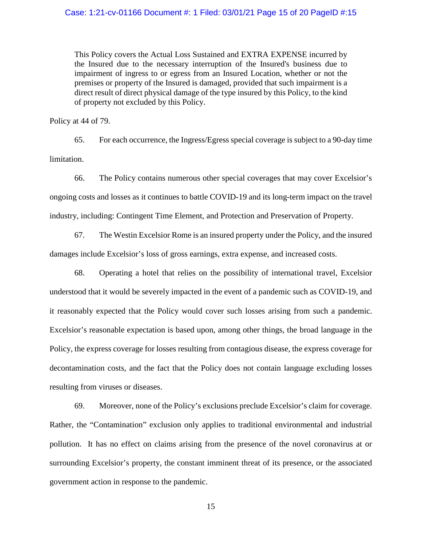This Policy covers the Actual Loss Sustained and EXTRA EXPENSE incurred by the Insured due to the necessary interruption of the Insured's business due to impairment of ingress to or egress from an Insured Location, whether or not the premises or property of the Insured is damaged, provided that such impairment is a direct result of direct physical damage of the type insured by this Policy, to the kind of property not excluded by this Policy.

Policy at 44 of 79.

65. For each occurrence, the Ingress/Egress special coverage is subject to a 90-day time limitation.

66. The Policy contains numerous other special coverages that may cover Excelsior's ongoing costs and losses as it continues to battle COVID-19 and its long-term impact on the travel industry, including: Contingent Time Element, and Protection and Preservation of Property.

67. The Westin Excelsior Rome is an insured property under the Policy, and the insured damages include Excelsior's loss of gross earnings, extra expense, and increased costs.

68. Operating a hotel that relies on the possibility of international travel, Excelsior understood that it would be severely impacted in the event of a pandemic such as COVID-19, and it reasonably expected that the Policy would cover such losses arising from such a pandemic. Excelsior's reasonable expectation is based upon, among other things, the broad language in the Policy, the express coverage for losses resulting from contagious disease, the express coverage for decontamination costs, and the fact that the Policy does not contain language excluding losses resulting from viruses or diseases.

69. Moreover, none of the Policy's exclusions preclude Excelsior's claim for coverage. Rather, the "Contamination" exclusion only applies to traditional environmental and industrial pollution. It has no effect on claims arising from the presence of the novel coronavirus at or surrounding Excelsior's property, the constant imminent threat of its presence, or the associated government action in response to the pandemic.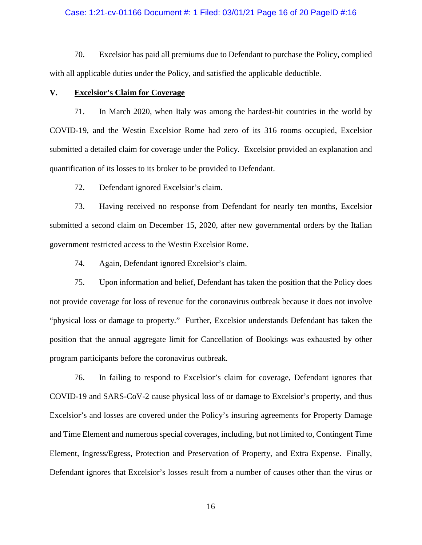### Case: 1:21-cv-01166 Document #: 1 Filed: 03/01/21 Page 16 of 20 PageID #:16

70. Excelsior has paid all premiums due to Defendant to purchase the Policy, complied with all applicable duties under the Policy, and satisfied the applicable deductible.

## **V. Excelsior's Claim for Coverage**

71. In March 2020, when Italy was among the hardest-hit countries in the world by COVID-19, and the Westin Excelsior Rome had zero of its 316 rooms occupied, Excelsior submitted a detailed claim for coverage under the Policy. Excelsior provided an explanation and quantification of its losses to its broker to be provided to Defendant.

72. Defendant ignored Excelsior's claim.

73. Having received no response from Defendant for nearly ten months, Excelsior submitted a second claim on December 15, 2020, after new governmental orders by the Italian government restricted access to the Westin Excelsior Rome.

74. Again, Defendant ignored Excelsior's claim.

75. Upon information and belief, Defendant has taken the position that the Policy does not provide coverage for loss of revenue for the coronavirus outbreak because it does not involve "physical loss or damage to property." Further, Excelsior understands Defendant has taken the position that the annual aggregate limit for Cancellation of Bookings was exhausted by other program participants before the coronavirus outbreak.

76. In failing to respond to Excelsior's claim for coverage, Defendant ignores that COVID-19 and SARS-CoV-2 cause physical loss of or damage to Excelsior's property, and thus Excelsior's and losses are covered under the Policy's insuring agreements for Property Damage and Time Element and numerous special coverages, including, but not limited to, Contingent Time Element, Ingress/Egress, Protection and Preservation of Property, and Extra Expense. Finally, Defendant ignores that Excelsior's losses result from a number of causes other than the virus or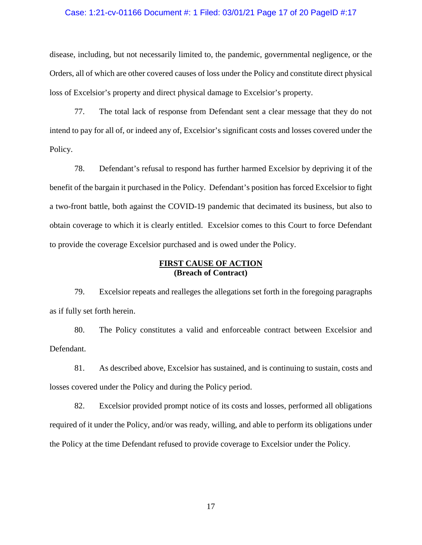#### Case: 1:21-cv-01166 Document #: 1 Filed: 03/01/21 Page 17 of 20 PageID #:17

disease, including, but not necessarily limited to, the pandemic, governmental negligence, or the Orders, all of which are other covered causes of loss under the Policy and constitute direct physical loss of Excelsior's property and direct physical damage to Excelsior's property.

77. The total lack of response from Defendant sent a clear message that they do not intend to pay for all of, or indeed any of, Excelsior's significant costs and losses covered under the Policy.

78. Defendant's refusal to respond has further harmed Excelsior by depriving it of the benefit of the bargain it purchased in the Policy. Defendant's position has forced Excelsior to fight a two-front battle, both against the COVID-19 pandemic that decimated its business, but also to obtain coverage to which it is clearly entitled. Excelsior comes to this Court to force Defendant to provide the coverage Excelsior purchased and is owed under the Policy.

## **FIRST CAUSE OF ACTION (Breach of Contract)**

79. Excelsior repeats and realleges the allegations set forth in the foregoing paragraphs as if fully set forth herein.

80. The Policy constitutes a valid and enforceable contract between Excelsior and Defendant.

81. As described above, Excelsior has sustained, and is continuing to sustain, costs and losses covered under the Policy and during the Policy period.

82. Excelsior provided prompt notice of its costs and losses, performed all obligations required of it under the Policy, and/or was ready, willing, and able to perform its obligations under the Policy at the time Defendant refused to provide coverage to Excelsior under the Policy.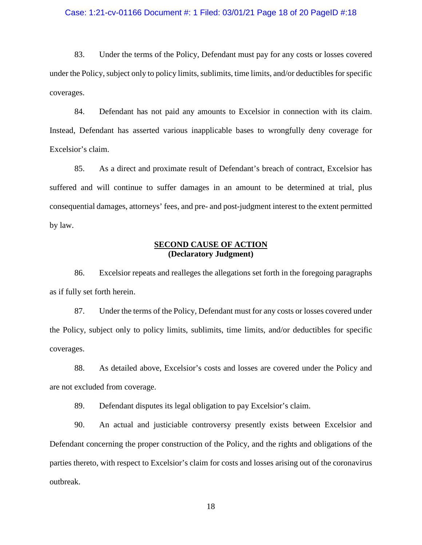#### Case: 1:21-cv-01166 Document #: 1 Filed: 03/01/21 Page 18 of 20 PageID #:18

83. Under the terms of the Policy, Defendant must pay for any costs or losses covered under the Policy, subject only to policy limits, sublimits, time limits, and/or deductibles for specific coverages.

84. Defendant has not paid any amounts to Excelsior in connection with its claim. Instead, Defendant has asserted various inapplicable bases to wrongfully deny coverage for Excelsior's claim.

85. As a direct and proximate result of Defendant's breach of contract, Excelsior has suffered and will continue to suffer damages in an amount to be determined at trial, plus consequential damages, attorneys' fees, and pre- and post-judgment interest to the extent permitted by law.

## **SECOND CAUSE OF ACTION (Declaratory Judgment)**

86. Excelsior repeats and realleges the allegations set forth in the foregoing paragraphs as if fully set forth herein.

87. Under the terms of the Policy, Defendant must for any costs or losses covered under the Policy, subject only to policy limits, sublimits, time limits, and/or deductibles for specific coverages.

88. As detailed above, Excelsior's costs and losses are covered under the Policy and are not excluded from coverage.

89. Defendant disputes its legal obligation to pay Excelsior's claim.

90. An actual and justiciable controversy presently exists between Excelsior and Defendant concerning the proper construction of the Policy, and the rights and obligations of the parties thereto, with respect to Excelsior's claim for costs and losses arising out of the coronavirus outbreak.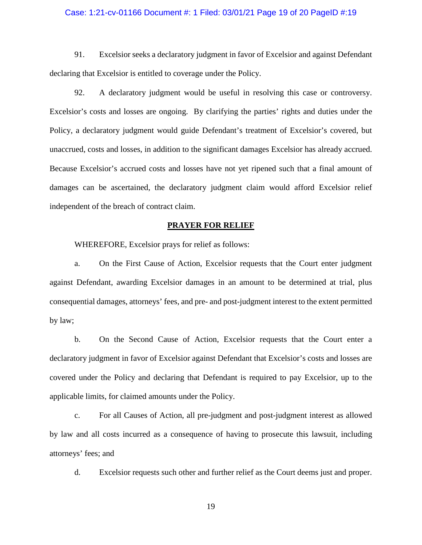#### Case: 1:21-cv-01166 Document #: 1 Filed: 03/01/21 Page 19 of 20 PageID #:19

91. Excelsior seeks a declaratory judgment in favor of Excelsior and against Defendant declaring that Excelsior is entitled to coverage under the Policy.

92. A declaratory judgment would be useful in resolving this case or controversy. Excelsior's costs and losses are ongoing. By clarifying the parties' rights and duties under the Policy, a declaratory judgment would guide Defendant's treatment of Excelsior's covered, but unaccrued, costs and losses, in addition to the significant damages Excelsior has already accrued. Because Excelsior's accrued costs and losses have not yet ripened such that a final amount of damages can be ascertained, the declaratory judgment claim would afford Excelsior relief independent of the breach of contract claim.

#### **PRAYER FOR RELIEF**

WHEREFORE, Excelsior prays for relief as follows:

a. On the First Cause of Action, Excelsior requests that the Court enter judgment against Defendant, awarding Excelsior damages in an amount to be determined at trial, plus consequential damages, attorneys' fees, and pre- and post-judgment interest to the extent permitted by law;

b. On the Second Cause of Action, Excelsior requests that the Court enter a declaratory judgment in favor of Excelsior against Defendant that Excelsior's costs and losses are covered under the Policy and declaring that Defendant is required to pay Excelsior, up to the applicable limits, for claimed amounts under the Policy.

c. For all Causes of Action, all pre-judgment and post-judgment interest as allowed by law and all costs incurred as a consequence of having to prosecute this lawsuit, including attorneys' fees; and

d. Excelsior requests such other and further relief as the Court deems just and proper.